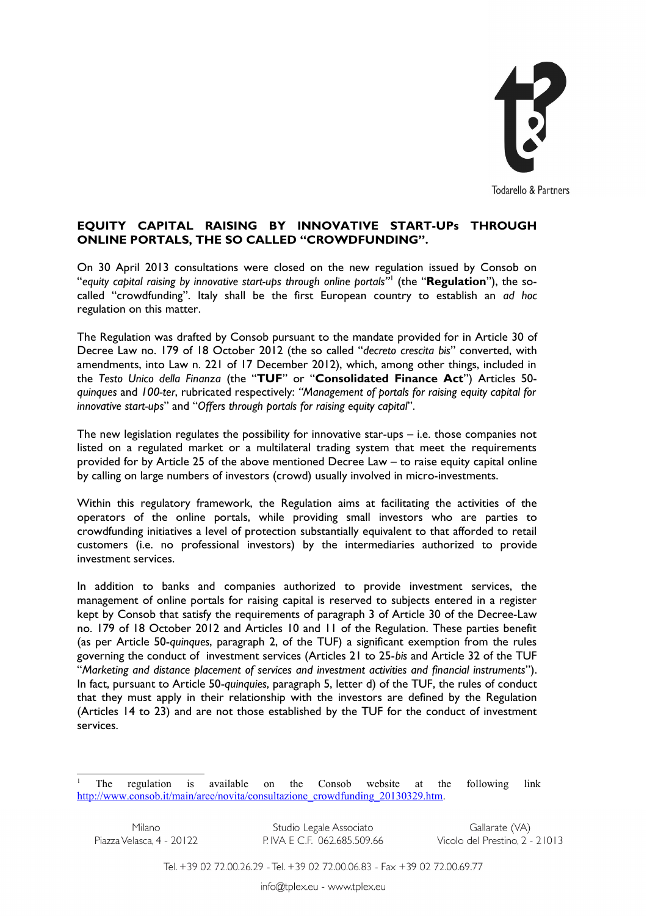

## **EQUITY CAPITAL RAISING BY INNOVATIVE START-UPs THROUGH ONLINE PORTALS, THE SO CALLED "CROWDFUNDING".**

On 30 April 2013 consultations were closed on the new regulation issued by Consob on "*equity capital raising by innovative start-ups through online portals"*[1](#page-0-0) (the "**Regulation**"), the socalled "crowdfunding". Italy shall be the first European country to establish an *ad hoc* regulation on this matter.

The Regulation was drafted by Consob pursuant to the mandate provided for in [Article 30 of](http://www.dailyenmoveme.com/it/crescita-bis/dl-18-ottobre-2012-n-179) [Decree Law no. 179 of 18 October 2012](http://www.dailyenmoveme.com/it/crescita-bis/dl-18-ottobre-2012-n-179) (the so called "*decreto crescita bis*" converted, with amendments, into Law n. 221 of 17 December 2012), which, among other things, included in the *Testo Unico della Finanza* (the "**TUF**" or "**Consolidated Finance Act**") Articles 50 *quinques* and *100-ter*, rubricated respectively: *"Management of portals for raising equity capital for innovative start-ups*" and "*Offers through portals for raising equity capital*".

The new legislation regulates the possibility for innovative star-ups – i.e. those companies not listed on a regulated market or a multilateral trading system that meet the requirements provided for by Article 25 of the above mentioned Decree Law – to raise equity capital online by calling on large numbers of investors (crowd) usually involved in micro-investments.

Within this regulatory framework, the Regulation aims at facilitating the activities of the operators of the online portals, while providing small investors who are parties to crowdfunding initiatives a level of protection substantially equivalent to that afforded to retail customers (i.e. no professional investors) by the intermediaries authorized to provide investment services.

In addition to banks and companies authorized to provide investment services, the management of online portals for raising capital is reserved to subjects entered in a register kept by Consob that satisfy the requirements of paragraph 3 of Article 30 of the Decree-Law no. 179 of 18 October 2012 and Articles 10 and 11 of the Regulation. These parties benefit (as per Article 50-*quinques*, paragraph 2, of the TUF) a significant exemption from the rules governing the conduct of investment services (Articles 21 to 25-*bis* and Article 32 of the TUF "*Marketing and distance placement of services and investment activities and financial instruments*"). In fact, pursuant to Article 50-*quinquies*, paragraph 5, letter d) of the TUF, the rules of conduct that they must apply in their relationship with the investors are defined by the Regulation (Articles 14 to 23) and are not those established by the TUF for the conduct of investment services.

Studio Legale Associato P. IVA E C.F. 062.685.509.66

Gallarate (VA) Vicolo del Prestino, 2 - 21013

Tel. +39 02 72.00.26.29 - Tel. +39 02 72.00.06.83 - Fax +39 02 72.00.69.77

<span id="page-0-0"></span><sup>1</sup> The regulation is available on the Consob website at the following link [http://www.consob.it/main/aree/novita/consultazione\\_crowdfunding\\_20130329.htm.](http://www.consob.it/main/aree/novita/consultazione_crowdfunding_20130329.htm)